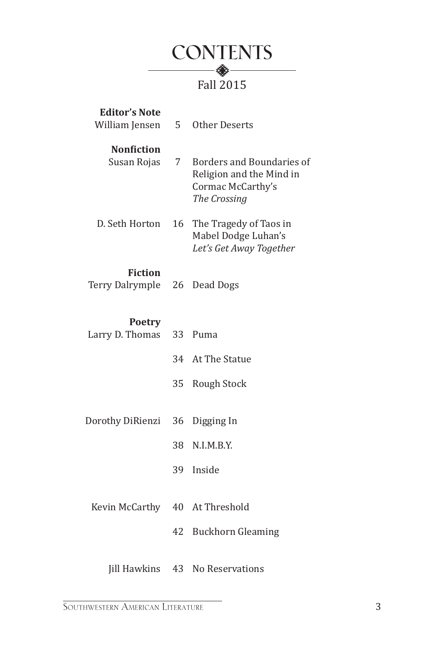

| <b>Editor's Note</b><br>William Jensen |    | 5 Other Deserts                                                                            |
|----------------------------------------|----|--------------------------------------------------------------------------------------------|
| <b>Nonfiction</b><br>Susan Rojas       | 7  | Borders and Boundaries of<br>Religion and the Mind in<br>Cormac McCarthy's<br>The Crossing |
| D. Seth Horton                         | 16 | The Tragedy of Taos in<br>Mabel Dodge Luhan's<br>Let's Get Away Together                   |
| <b>Fiction</b><br>Terry Dalrymple      |    | 26 Dead Dogs                                                                               |
| Poetry<br>Larry D. Thomas              |    | 33 Puma                                                                                    |
|                                        |    | 34 At The Statue                                                                           |
|                                        | 35 | Rough Stock                                                                                |
| Dorothy DiRienzi                       | 36 | Digging In                                                                                 |
|                                        | 38 | N.I.M.B.Y.                                                                                 |
|                                        | 39 | Inside                                                                                     |
| Kevin McCarthy                         |    | 40 At Threshold                                                                            |
|                                        | 42 | <b>Buckhorn Gleaming</b>                                                                   |
|                                        |    |                                                                                            |

Jill Hawkins 43 No Reservations